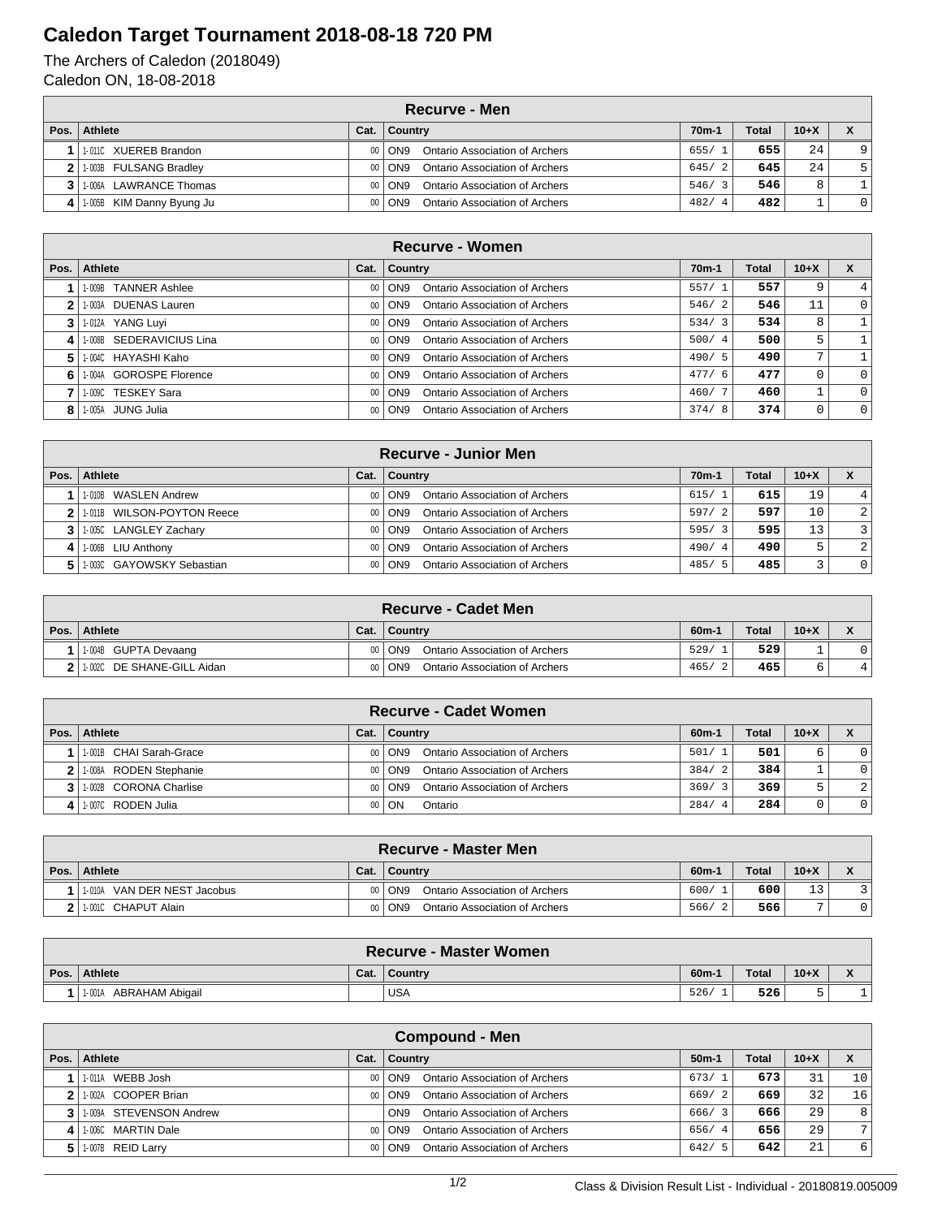## **Caledon Target Tournament 2018-08-18 720 PM**

The Archers of Caledon (2018049) Caledon ON, 18-08-2018

| Recurve - Men               |      |                                              |                    |              |          |          |  |  |
|-----------------------------|------|----------------------------------------------|--------------------|--------------|----------|----------|--|--|
| Pos.   Athlete              | Cat. | Country                                      | 70 <sub>m</sub> -1 | <b>Total</b> | $10 + X$ |          |  |  |
| 11-011C XUEREB Brandon      |      | Ontario Association of Archers<br>00   ON9   | 655/1              | 655          | 24       | 9        |  |  |
| 2 1.003B FULSANG Bradley    |      | Ontario Association of Archers<br>00 ON9     | 645/2              | 645          | 24       | 5        |  |  |
| 3 1.006A LAWRANCE Thomas    |      | Ontario Association of Archers<br>00 ON9     | 546/3              | 546          | 8        |          |  |  |
| 4 1.005B KIM Danny Byung Ju |      | Ontario Association of Archers<br>$00  $ ON9 | 482/<br>-4         | 482          |          | $\Omega$ |  |  |

|              | Recurve - Women                |        |                                                   |         |       |                |              |  |  |
|--------------|--------------------------------|--------|---------------------------------------------------|---------|-------|----------------|--------------|--|--|
| Pos. $\vert$ | Athlete                        | Cat.   | Country                                           | $70m-1$ | Total | $10+X$         |              |  |  |
|              | <b>TANNER Ashlee</b><br>1-009B |        | Ontario Association of Archers<br>00 ON9          | 557/1   | 557   | 9              | 4            |  |  |
| 2            | 1-003A DUENAS Lauren           |        | Ontario Association of Archers<br>00 ON9          | 546/2   | 546   | 11             | $\mathbf{0}$ |  |  |
| 3            | 1-012A YANG Luyi               |        | Ontario Association of Archers<br>00 ON9          | 534/3   | 534   | 8              |              |  |  |
| 4            | 1-008B SEDERAVICIUS Lina       |        | Ontario Association of Archers<br>00   ON9        | 500/4   | 500   | 5.             |              |  |  |
| 5.           | 1-004C HAYASHI Kaho            | $00 -$ | Ontario Association of Archers<br>  ON9           | 490/5   | 490   | $\overline{ }$ |              |  |  |
| 6.           | 1-004A GOROSPE Florence        |        | <b>Ontario Association of Archers</b><br>00   ON9 | 477/6   | 477   | $\Omega$       | $\Omega$     |  |  |
|              | 1-009C TESKEY Sara             |        | Ontario Association of Archers<br>00 ON9          | 460/7   | 460   |                | $\Omega$     |  |  |
| 8            | 1-005A JUNG Julia              |        | Ontario Association of Archers<br>00   ON9        | 374/8   | 374   | 0              | $\Omega$     |  |  |

|      | <b>Recurve - Junior Men</b>   |      |                                                 |                    |              |        |                |  |  |  |
|------|-------------------------------|------|-------------------------------------------------|--------------------|--------------|--------|----------------|--|--|--|
| Pos. | Athlete                       | Cat. | <b>Country</b>                                  | 70 <sub>m</sub> -1 | <b>Total</b> | $10+X$ |                |  |  |  |
|      | 1-010B WASLEN Andrew          |      | Ontario Association of Archers<br>$00  $ ON9    | 615/1              | 615          | 19     | $\overline{4}$ |  |  |  |
|      | 1.011B WILSON-POYTON Reece    |      | Ontario Association of Archers<br>$00  $ ON9    | 597/2              | 597          | 10     | 2              |  |  |  |
|      | 3 1.0050 LANGLEY Zachary      |      | <b>Ontario Association of Archers</b><br>00 ON9 | 595/3              | 595          | 13     | 3              |  |  |  |
| 4    | 1-006B LIU Anthony            |      | Ontario Association of Archers<br>00 ON9        | 490/4              | 490          | ל      | 2              |  |  |  |
|      | 5 1 1 003C GAYOWSKY Sebastian |      | Ontario Association of Archers<br>00 ON9        | 485/5              | 485          |        | $\Omega$       |  |  |  |

|      | <b>Recurve - Cadet Men</b>     |      |                                            |         |              |        |   |  |  |
|------|--------------------------------|------|--------------------------------------------|---------|--------------|--------|---|--|--|
| Pos. | Athlete                        | Cat. | ∣ Country                                  | $60m-1$ | <b>Total</b> | $10+X$ |   |  |  |
|      | 1.004B GUPTA Devaang           |      | Ontario Association of Archers<br>00 ON9   | 529/    | 529          |        |   |  |  |
|      | 2 1 1 002C DE SHANE-GILL Aidan |      | Ontario Association of Archers<br>00   ON9 | 465/    | 465          |        | 4 |  |  |

| <b>Recurve - Cadet Women</b> |                 |                                                   |         |       |        |          |  |  |
|------------------------------|-----------------|---------------------------------------------------|---------|-------|--------|----------|--|--|
| Pos.   Athlete               | Cat.            | Country                                           | $60m-1$ | Total | $10+X$ |          |  |  |
| 11-001B CHAI Sarah-Grace     | .00 I           | Ontario Association of Archers<br>I ON9           | 501/1   | 501   | 6      | $\Omega$ |  |  |
| 2 1.008A RODEN Stephanie     | $00 -$          | Ontario Association of Archers<br>ON9             | 384/2   | 384   |        | $\Omega$ |  |  |
| 3   1-002B CORONA Charlise   | 00 <sub>1</sub> | Ontario Association of Archers<br>ON <sub>9</sub> | 369/3   | 369   | כ      | 2        |  |  |
| 4 1.007C RODEN Julia         |                 | 00   ON<br>Ontario                                | 284/4   | 284   | 0      |          |  |  |

|      | <b>Recurve - Master Men</b> |      |                                              |         |              |        |  |  |  |
|------|-----------------------------|------|----------------------------------------------|---------|--------------|--------|--|--|--|
| Pos. | Athlete                     | Cat. | ∣ Country                                    | $60m-1$ | <b>Total</b> | $10+X$ |  |  |  |
|      | 1.010A VAN DER NEST Jacobus |      | $00  $ ON9<br>Ontario Association of Archers | 600/    | 600          | 13     |  |  |  |
|      | 2 1.0010 CHAPUT Alain       |      | Ontario Association of Archers<br>00 ON9     | 566/2   | 566          | −      |  |  |  |

|      | <b>Recurve - Master Women</b> |      |            |         |       |        |  |  |  |
|------|-------------------------------|------|------------|---------|-------|--------|--|--|--|
| Pos. | Athlete                       | Cat. | Country    | $60m-1$ | Total | $10+X$ |  |  |  |
|      | ABRAHAM Abigail<br>1-001A     |      | <b>USA</b> | 526/    | 526   |        |  |  |  |

|      | <b>Compound - Men</b>    |      |                                                   |         |       |        |                |  |
|------|--------------------------|------|---------------------------------------------------|---------|-------|--------|----------------|--|
| Pos. | Athlete                  | Cat. | <b>Country</b>                                    | $50m-1$ | Total | $10+X$ | X              |  |
|      | 1-011A WEBB Josh         |      | Ontario Association of Archers<br>00   ON9        | 673/1   | 673   | 31     | 10             |  |
|      | 11-002A COOPER Brian     |      | Ontario Association of Archers<br>00 ON9          | 669/2   | 669   | 32     | 16             |  |
|      | 3 1009A STEVENSON Andrew |      | Ontario Association of Archers<br>ON <sub>9</sub> | 666/3   | 666   | 29     | 8              |  |
| 4    | 1-006C MARTIN Dale       |      | Ontario Association of Archers<br>00 ON9          | 656/4   | 656   | 29.    | 7 <sub>1</sub> |  |
|      | 1-007B REID Larry        |      | Ontario Association of Archers<br>00 ON9          | 642/5   | 642   | 21     | 6 <sup>1</sup> |  |